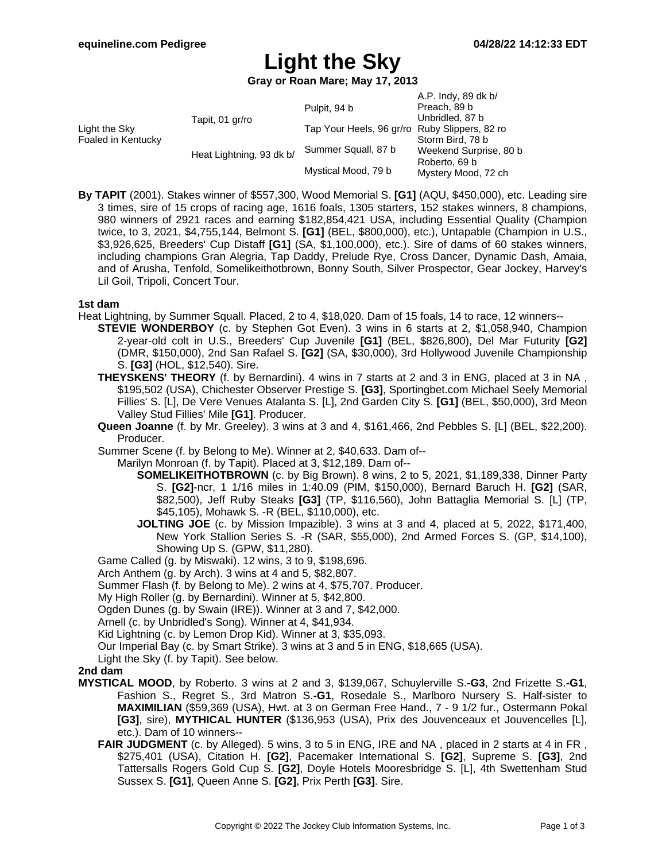# **Light the Sky**

**Gray or Roan Mare; May 17, 2013**

| Light the Sky<br>Foaled in Kentucky | Tapit, 01 gr/ro          | Pulpit, 94 b                                  | A.P. Indy, 89 dk b/<br>Preach, 89 b<br>Unbridled, 87 b                             |
|-------------------------------------|--------------------------|-----------------------------------------------|------------------------------------------------------------------------------------|
|                                     |                          | Tap Your Heels, 96 gr/ro Ruby Slippers, 82 ro | Storm Bird, 78 b<br>Weekend Surprise, 80 b<br>Roberto, 69 b<br>Mystery Mood, 72 ch |
|                                     | Heat Lightning, 93 dk b/ | Summer Squall, 87 b                           |                                                                                    |
|                                     |                          | Mystical Mood, 79 b                           |                                                                                    |

**By TAPIT** (2001). Stakes winner of \$557,300, Wood Memorial S. **[G1]** (AQU, \$450,000), etc. Leading sire 3 times, sire of 15 crops of racing age, 1616 foals, 1305 starters, 152 stakes winners, 8 champions, 980 winners of 2921 races and earning \$182,854,421 USA, including Essential Quality (Champion twice, to 3, 2021, \$4,755,144, Belmont S. **[G1]** (BEL, \$800,000), etc.), Untapable (Champion in U.S., \$3,926,625, Breeders' Cup Distaff **[G1]** (SA, \$1,100,000), etc.). Sire of dams of 60 stakes winners, including champions Gran Alegria, Tap Daddy, Prelude Rye, Cross Dancer, Dynamic Dash, Amaia, and of Arusha, Tenfold, Somelikeithotbrown, Bonny South, Silver Prospector, Gear Jockey, Harvey's Lil Goil, Tripoli, Concert Tour.

### **1st dam**

- Heat Lightning, by Summer Squall. Placed, 2 to 4, \$18,020. Dam of 15 foals, 14 to race, 12 winners--
	- **STEVIE WONDERBOY** (c. by Stephen Got Even). 3 wins in 6 starts at 2, \$1,058,940, Champion 2-year-old colt in U.S., Breeders' Cup Juvenile **[G1]** (BEL, \$826,800), Del Mar Futurity **[G2]** (DMR, \$150,000), 2nd San Rafael S. **[G2]** (SA, \$30,000), 3rd Hollywood Juvenile Championship S. **[G3]** (HOL, \$12,540). Sire.
	- **THEYSKENS' THEORY** (f. by Bernardini). 4 wins in 7 starts at 2 and 3 in ENG, placed at 3 in NA , \$195,502 (USA), Chichester Observer Prestige S. **[G3]**, Sportingbet.com Michael Seely Memorial Fillies' S. [L], De Vere Venues Atalanta S. [L], 2nd Garden City S. **[G1]** (BEL, \$50,000), 3rd Meon Valley Stud Fillies' Mile **[G1]**. Producer.
	- **Queen Joanne** (f. by Mr. Greeley). 3 wins at 3 and 4, \$161,466, 2nd Pebbles S. [L] (BEL, \$22,200). Producer.

Summer Scene (f. by Belong to Me). Winner at 2, \$40,633. Dam of--

Marilyn Monroan (f. by Tapit). Placed at 3, \$12,189. Dam of--

- **SOMELIKEITHOTBROWN** (c. by Big Brown). 8 wins, 2 to 5, 2021, \$1,189,338, Dinner Party S. **[G2]**-ncr, 1 1/16 miles in 1:40.09 (PIM, \$150,000), Bernard Baruch H. **[G2]** (SAR, \$82,500), Jeff Ruby Steaks **[G3]** (TP, \$116,560), John Battaglia Memorial S. [L] (TP, \$45,105), Mohawk S. -R (BEL, \$110,000), etc.
- **JOLTING JOE** (c. by Mission Impazible). 3 wins at 3 and 4, placed at 5, 2022, \$171,400, New York Stallion Series S. -R (SAR, \$55,000), 2nd Armed Forces S. (GP, \$14,100), Showing Up S. (GPW, \$11,280).

Game Called (g. by Miswaki). 12 wins, 3 to 9, \$198,696.

Arch Anthem (g. by Arch). 3 wins at 4 and 5, \$82,807.

Summer Flash (f. by Belong to Me). 2 wins at 4, \$75,707. Producer.

My High Roller (g. by Bernardini). Winner at 5, \$42,800.

Ogden Dunes (g. by Swain (IRE)). Winner at 3 and 7, \$42,000.

Arnell (c. by Unbridled's Song). Winner at 4, \$41,934.

Kid Lightning (c. by Lemon Drop Kid). Winner at 3, \$35,093.

Our Imperial Bay (c. by Smart Strike). 3 wins at 3 and 5 in ENG, \$18,665 (USA).

Light the Sky (f. by Tapit). See below.

### **2nd dam**

- **MYSTICAL MOOD**, by Roberto. 3 wins at 2 and 3, \$139,067, Schuylerville S.**-G3**, 2nd Frizette S.**-G1**, Fashion S., Regret S., 3rd Matron S.**-G1**, Rosedale S., Marlboro Nursery S. Half-sister to **MAXIMILIAN** (\$59,369 (USA), Hwt. at 3 on German Free Hand., 7 - 9 1/2 fur., Ostermann Pokal **[G3]**, sire), **MYTHICAL HUNTER** (\$136,953 (USA), Prix des Jouvenceaux et Jouvencelles [L], etc.). Dam of 10 winners--
	- **FAIR JUDGMENT** (c. by Alleged). 5 wins, 3 to 5 in ENG, IRE and NA, placed in 2 starts at 4 in FR, \$275,401 (USA), Citation H. **[G2]**, Pacemaker International S. **[G2]**, Supreme S. **[G3]**, 2nd Tattersalls Rogers Gold Cup S. **[G2]**, Doyle Hotels Mooresbridge S. [L], 4th Swettenham Stud Sussex S. **[G1]**, Queen Anne S. **[G2]**, Prix Perth **[G3]**. Sire.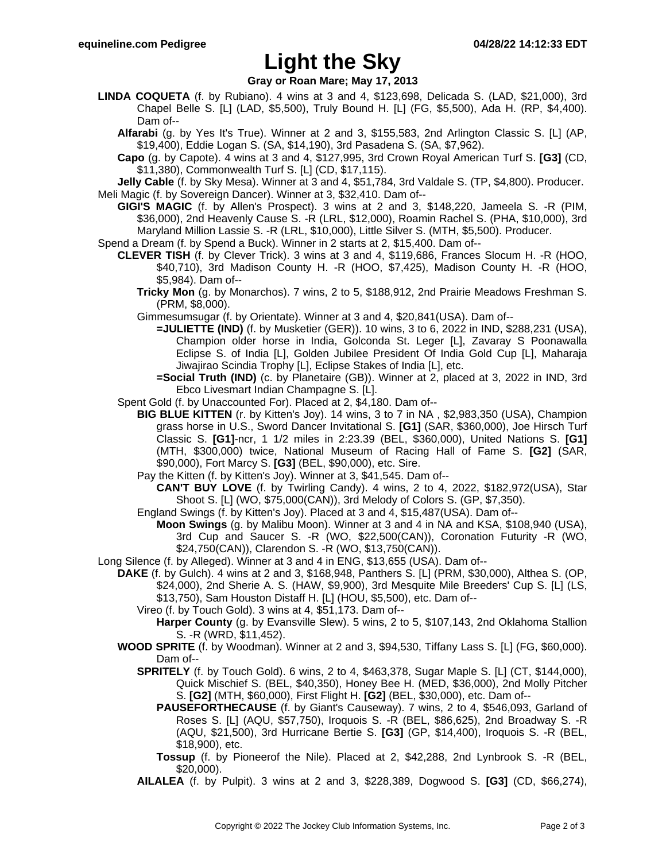## **Light the Sky**

**Gray or Roan Mare; May 17, 2013**

- **LINDA COQUETA** (f. by Rubiano). 4 wins at 3 and 4, \$123,698, Delicada S. (LAD, \$21,000), 3rd Chapel Belle S. [L] (LAD, \$5,500), Truly Bound H. [L] (FG, \$5,500), Ada H. (RP, \$4,400). Dam of--
	- **Alfarabi** (g. by Yes It's True). Winner at 2 and 3, \$155,583, 2nd Arlington Classic S. [L] (AP, \$19,400), Eddie Logan S. (SA, \$14,190), 3rd Pasadena S. (SA, \$7,962).
	- **Capo** (g. by Capote). 4 wins at 3 and 4, \$127,995, 3rd Crown Royal American Turf S. **[G3]** (CD, \$11,380), Commonwealth Turf S. [L] (CD, \$17,115).

**Jelly Cable** (f. by Sky Mesa). Winner at 3 and 4, \$51,784, 3rd Valdale S. (TP, \$4,800). Producer. Meli Magic (f. by Sovereign Dancer). Winner at 3, \$32,410. Dam of--

**GIGI'S MAGIC** (f. by Allen's Prospect). 3 wins at 2 and 3, \$148,220, Jameela S. -R (PIM, \$36,000), 2nd Heavenly Cause S. -R (LRL, \$12,000), Roamin Rachel S. (PHA, \$10,000), 3rd Maryland Million Lassie S. -R (LRL, \$10,000), Little Silver S. (MTH, \$5,500). Producer.

Spend a Dream (f. by Spend a Buck). Winner in 2 starts at 2, \$15,400. Dam of--

- **CLEVER TISH** (f. by Clever Trick). 3 wins at 3 and 4, \$119,686, Frances Slocum H. -R (HOO, \$40,710), 3rd Madison County H. -R (HOO, \$7,425), Madison County H. -R (HOO, \$5,984). Dam of--
	- **Tricky Mon** (g. by Monarchos). 7 wins, 2 to 5, \$188,912, 2nd Prairie Meadows Freshman S. (PRM, \$8,000).

Gimmesumsugar (f. by Orientate). Winner at 3 and 4, \$20,841(USA). Dam of--

- **=JULIETTE (IND)** (f. by Musketier (GER)). 10 wins, 3 to 6, 2022 in IND, \$288,231 (USA), Champion older horse in India, Golconda St. Leger [L], Zavaray S Poonawalla Eclipse S. of India [L], Golden Jubilee President Of India Gold Cup [L], Maharaja Jiwajirao Scindia Trophy [L], Eclipse Stakes of India [L], etc.
- **=Social Truth (IND)** (c. by Planetaire (GB)). Winner at 2, placed at 3, 2022 in IND, 3rd Ebco Livesmart Indian Champagne S. [L].
- Spent Gold (f. by Unaccounted For). Placed at 2, \$4,180. Dam of--
	- **BIG BLUE KITTEN** (r. by Kitten's Joy). 14 wins, 3 to 7 in NA , \$2,983,350 (USA), Champion grass horse in U.S., Sword Dancer Invitational S. **[G1]** (SAR, \$360,000), Joe Hirsch Turf Classic S. **[G1]**-ncr, 1 1/2 miles in 2:23.39 (BEL, \$360,000), United Nations S. **[G1]** (MTH, \$300,000) twice, National Museum of Racing Hall of Fame S. **[G2]** (SAR, \$90,000), Fort Marcy S. **[G3]** (BEL, \$90,000), etc. Sire.
	- Pay the Kitten (f. by Kitten's Joy). Winner at 3, \$41,545. Dam of--
		- **CAN'T BUY LOVE** (f. by Twirling Candy). 4 wins, 2 to 4, 2022, \$182,972(USA), Star Shoot S. [L] (WO, \$75,000(CAN)), 3rd Melody of Colors S. (GP, \$7,350).
	- England Swings (f. by Kitten's Joy). Placed at 3 and 4, \$15,487(USA). Dam of--
		- **Moon Swings** (g. by Malibu Moon). Winner at 3 and 4 in NA and KSA, \$108,940 (USA), 3rd Cup and Saucer S. -R (WO, \$22,500(CAN)), Coronation Futurity -R (WO, \$24,750(CAN)), Clarendon S. -R (WO, \$13,750(CAN)).
- Long Silence (f. by Alleged). Winner at 3 and 4 in ENG, \$13,655 (USA). Dam of--
	- **DAKE** (f. by Gulch). 4 wins at 2 and 3, \$168,948, Panthers S. [L] (PRM, \$30,000), Althea S. (OP, \$24,000), 2nd Sherie A. S. (HAW, \$9,900), 3rd Mesquite Mile Breeders' Cup S. [L] (LS, \$13,750), Sam Houston Distaff H. [L] (HOU, \$5,500), etc. Dam of--
		- Vireo (f. by Touch Gold). 3 wins at 4, \$51,173. Dam of--
			- **Harper County** (g. by Evansville Slew). 5 wins, 2 to 5, \$107,143, 2nd Oklahoma Stallion S. -R (WRD, \$11,452).
	- **WOOD SPRITE** (f. by Woodman). Winner at 2 and 3, \$94,530, Tiffany Lass S. [L] (FG, \$60,000). Dam of--
		- **SPRITELY** (f. by Touch Gold). 6 wins, 2 to 4, \$463,378, Sugar Maple S. [L] (CT, \$144,000), Quick Mischief S. (BEL, \$40,350), Honey Bee H. (MED, \$36,000), 2nd Molly Pitcher S. **[G2]** (MTH, \$60,000), First Flight H. **[G2]** (BEL, \$30,000), etc. Dam of--
			- **PAUSEFORTHECAUSE** (f. by Giant's Causeway). 7 wins, 2 to 4, \$546,093, Garland of Roses S. [L] (AQU, \$57,750), Iroquois S. -R (BEL, \$86,625), 2nd Broadway S. -R (AQU, \$21,500), 3rd Hurricane Bertie S. **[G3]** (GP, \$14,400), Iroquois S. -R (BEL, \$18,900), etc.
			- **Tossup** (f. by Pioneerof the Nile). Placed at 2, \$42,288, 2nd Lynbrook S. -R (BEL, \$20,000).
		- **AILALEA** (f. by Pulpit). 3 wins at 2 and 3, \$228,389, Dogwood S. **[G3]** (CD, \$66,274),